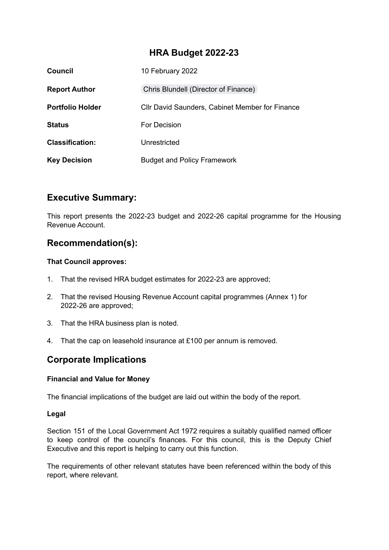# **HRA Budget 2022-23**

| Council                 | 10 February 2022                                |
|-------------------------|-------------------------------------------------|
| <b>Report Author</b>    | Chris Blundell (Director of Finance)            |
| <b>Portfolio Holder</b> | Cllr David Saunders, Cabinet Member for Finance |
| <b>Status</b>           | For Decision                                    |
| <b>Classification:</b>  | Unrestricted                                    |
| <b>Key Decision</b>     | <b>Budget and Policy Framework</b>              |

# **Executive Summary:**

This report presents the 2022-23 budget and 2022-26 capital programme for the Housing Revenue Account.

# **Recommendation(s):**

## **That Council approves:**

- 1. That the revised HRA budget estimates for 2022-23 are approved;
- 2. That the revised Housing Revenue Account capital programmes (Annex 1) for 2022-26 are approved;
- 3. That the HRA business plan is noted.
- 4. That the cap on leasehold insurance at £100 per annum is removed.

# **Corporate Implications**

## **Financial and Value for Money**

The financial implications of the budget are laid out within the body of the report.

## **Legal**

Section 151 of the Local Government Act 1972 requires a suitably qualified named officer to keep control of the council's finances. For this council, this is the Deputy Chief Executive and this report is helping to carry out this function.

The requirements of other relevant statutes have been referenced within the body of this report, where relevant.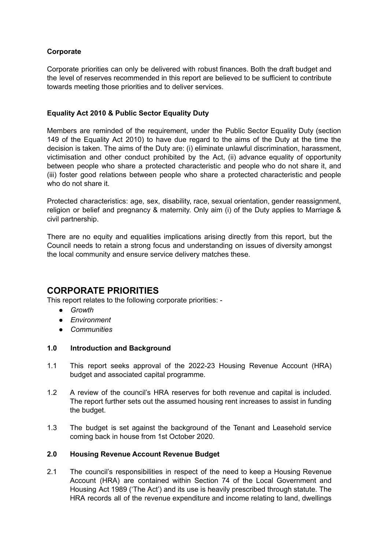## **Corporate**

Corporate priorities can only be delivered with robust finances. Both the draft budget and the level of reserves recommended in this report are believed to be sufficient to contribute towards meeting those priorities and to deliver services.

### **Equality Act 2010 & Public Sector Equality Duty**

Members are reminded of the requirement, under the Public Sector Equality Duty (section 149 of the Equality Act 2010) to have due regard to the aims of the Duty at the time the decision is taken. The aims of the Duty are: (i) eliminate unlawful discrimination, harassment, victimisation and other conduct prohibited by the Act, (ii) advance equality of opportunity between people who share a protected characteristic and people who do not share it, and (iii) foster good relations between people who share a protected characteristic and people who do not share it.

Protected characteristics: age, sex, disability, race, sexual orientation, gender reassignment, religion or belief and pregnancy & maternity. Only aim (i) of the Duty applies to Marriage & civil partnership.

There are no equity and equalities implications arising directly from this report, but the Council needs to retain a strong focus and understanding on issues of diversity amongst the local community and ensure service delivery matches these.

# **CORPORATE PRIORITIES**

This report relates to the following corporate priorities: -

- *● Growth*
- *● Environment*
- *● Communities*

### **1.0 Introduction and Background**

- 1.1 This report seeks approval of the 2022-23 Housing Revenue Account (HRA) budget and associated capital programme.
- 1.2 A review of the council's HRA reserves for both revenue and capital is included. The report further sets out the assumed housing rent increases to assist in funding the budget.
- 1.3 The budget is set against the background of the Tenant and Leasehold service coming back in house from 1st October 2020.

### **2.0 Housing Revenue Account Revenue Budget**

2.1 The council's responsibilities in respect of the need to keep a Housing Revenue Account (HRA) are contained within Section 74 of the Local Government and Housing Act 1989 ('The Act') and its use is heavily prescribed through statute. The HRA records all of the revenue expenditure and income relating to land, dwellings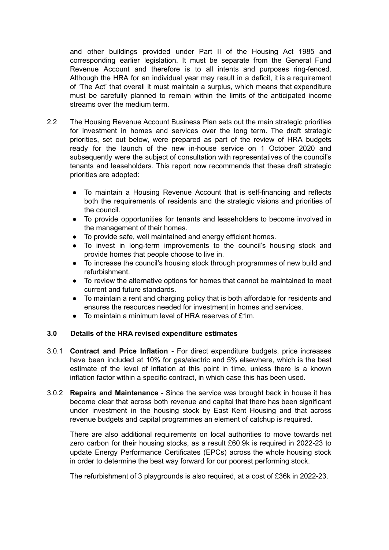and other buildings provided under Part II of the Housing Act 1985 and corresponding earlier legislation. It must be separate from the General Fund Revenue Account and therefore is to all intents and purposes ring-fenced. Although the HRA for an individual year may result in a deficit, it is a requirement of 'The Act' that overall it must maintain a surplus, which means that expenditure must be carefully planned to remain within the limits of the anticipated income streams over the medium term.

- 2.2 The Housing Revenue Account Business Plan sets out the main strategic priorities for investment in homes and services over the long term. The draft strategic priorities, set out below, were prepared as part of the review of HRA budgets ready for the launch of the new in-house service on 1 October 2020 and subsequently were the subject of consultation with representatives of the council's tenants and leaseholders. This report now recommends that these draft strategic priorities are adopted:
	- To maintain a Housing Revenue Account that is self-financing and reflects both the requirements of residents and the strategic visions and priorities of the council.
	- To provide opportunities for tenants and leaseholders to become involved in the management of their homes.
	- To provide safe, well maintained and energy efficient homes.
	- To invest in long-term improvements to the council's housing stock and provide homes that people choose to live in.
	- To increase the council's housing stock through programmes of new build and refurbishment.
	- To review the alternative options for homes that cannot be maintained to meet current and future standards.
	- To maintain a rent and charging policy that is both affordable for residents and ensures the resources needed for investment in homes and services.
	- To maintain a minimum level of HRA reserves of  $f1m$ .

### **3.0 Details of the HRA revised expenditure estimates**

- 3.0.1 **Contract and Price Inflation** For direct expenditure budgets, price increases have been included at 10% for gas/electric and 5% elsewhere, which is the best estimate of the level of inflation at this point in time, unless there is a known inflation factor within a specific contract, in which case this has been used.
- 3.0.2 **Repairs and Maintenance -** Since the service was brought back in house it has become clear that across both revenue and capital that there has been significant under investment in the housing stock by East Kent Housing and that across revenue budgets and capital programmes an element of catchup is required.

There are also additional requirements on local authorities to move towards net zero carbon for their housing stocks, as a result £60.9k is required in 2022-23 to update Energy Performance Certificates (EPCs) across the whole housing stock in order to determine the best way forward for our poorest performing stock.

The refurbishment of 3 playgrounds is also required, at a cost of £36k in 2022-23.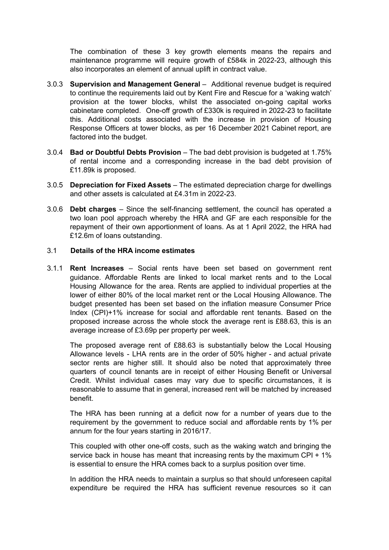The combination of these 3 key growth elements means the repairs and maintenance programme will require growth of £584k in 2022-23, although this also incorporates an element of annual uplift in contract value.

- 3.0.3 **Supervision and Management General** Additional revenue budget is required to continue the requirements laid out by Kent Fire and Rescue for a 'waking watch' provision at the tower blocks, whilst the associated on-going capital works cabinetare completed. One-off growth of £330k is required in 2022-23 to facilitate this. Additional costs associated with the increase in provision of Housing Response Officers at tower blocks, as per 16 December 2021 Cabinet report, are factored into the budget.
- 3.0.4 **Bad or Doubtful Debts Provision** The bad debt provision is budgeted at 1.75% of rental income and a corresponding increase in the bad debt provision of £11.89k is proposed.
- 3.0.5 **Depreciation for Fixed Assets** The estimated depreciation charge for dwellings and other assets is calculated at £4.31m in 2022-23.
- 3.0.6 **Debt charges** Since the self-financing settlement, the council has operated a two loan pool approach whereby the HRA and GF are each responsible for the repayment of their own apportionment of loans. As at 1 April 2022, the HRA had £12.6m of loans outstanding.

### 3.1 **Details of the HRA income estimates**

3.1.1 **Rent Increases** – Social rents have been set based on government rent guidance. Affordable Rents are linked to local market rents and to the Local Housing Allowance for the area. Rents are applied to individual properties at the lower of either 80% of the local market rent or the Local Housing Allowance. The budget presented has been set based on the inflation measure Consumer Price Index (CPI)+1% increase for social and affordable rent tenants. Based on the proposed increase across the whole stock the average rent is £88.63, this is an average increase of £3.69p per property per week.

The proposed average rent of £88.63 is substantially below the Local Housing Allowance levels - LHA rents are in the order of 50% higher - and actual private sector rents are higher still. It should also be noted that approximately three quarters of council tenants are in receipt of either Housing Benefit or Universal Credit. Whilst individual cases may vary due to specific circumstances, it is reasonable to assume that in general, increased rent will be matched by increased benefit.

The HRA has been running at a deficit now for a number of years due to the requirement by the government to reduce social and affordable rents by 1% per annum for the four years starting in 2016/17.

This coupled with other one-off costs, such as the waking watch and bringing the service back in house has meant that increasing rents by the maximum CPI + 1% is essential to ensure the HRA comes back to a surplus position over time.

In addition the HRA needs to maintain a surplus so that should unforeseen capital expenditure be required the HRA has sufficient revenue resources so it can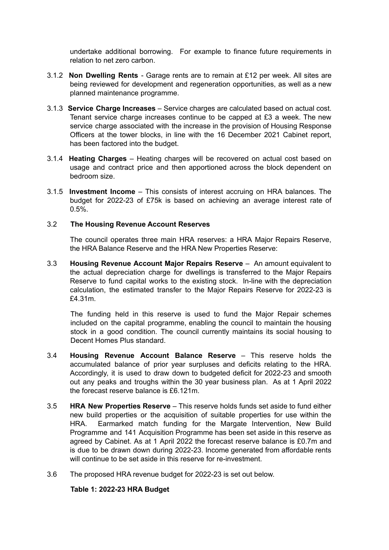undertake additional borrowing. For example to finance future requirements in relation to net zero carbon.

- 3.1.2 **Non Dwelling Rents** Garage rents are to remain at £12 per week. All sites are being reviewed for development and regeneration opportunities, as well as a new planned maintenance programme.
- 3.1.3 **Service Charge Increases** Service charges are calculated based on actual cost. Tenant service charge increases continue to be capped at £3 a week. The new service charge associated with the increase in the provision of Housing Response Officers at the tower blocks, in line with the 16 December 2021 Cabinet report, has been factored into the budget.
- 3.1.4 **Heating Charges** Heating charges will be recovered on actual cost based on usage and contract price and then apportioned across the block dependent on bedroom size.
- 3.1.5 **Investment Income** This consists of interest accruing on HRA balances. The budget for 2022-23 of £75k is based on achieving an average interest rate of 0.5%.

### 3.2 **The Housing Revenue Account Reserves**

The council operates three main HRA reserves: a HRA Major Repairs Reserve, the HRA Balance Reserve and the HRA New Properties Reserve:

3.3 **Housing Revenue Account Major Repairs Reserve** – An amount equivalent to the actual depreciation charge for dwellings is transferred to the Major Repairs Reserve to fund capital works to the existing stock. In-line with the depreciation calculation, the estimated transfer to the Major Repairs Reserve for 2022-23 is £4.31m.

The funding held in this reserve is used to fund the Major Repair schemes included on the capital programme, enabling the council to maintain the housing stock in a good condition. The council currently maintains its social housing to Decent Homes Plus standard.

- 3.4 **Housing Revenue Account Balance Reserve** This reserve holds the accumulated balance of prior year surpluses and deficits relating to the HRA. Accordingly, it is used to draw down to budgeted deficit for 2022-23 and smooth out any peaks and troughs within the 30 year business plan. As at 1 April 2022 the forecast reserve balance is £6.121m.
- 3.5 **HRA New Properties Reserve** This reserve holds funds set aside to fund either new build properties or the acquisition of suitable properties for use within the HRA. Earmarked match funding for the Margate Intervention, New Build Programme and 141 Acquisition Programme has been set aside in this reserve as agreed by Cabinet. As at 1 April 2022 the forecast reserve balance is £0.7m and is due to be drawn down during 2022-23. Income generated from affordable rents will continue to be set aside in this reserve for re-investment.
- 3.6 The proposed HRA revenue budget for 2022-23 is set out below.

### **Table 1: 2022-23 HRA Budget**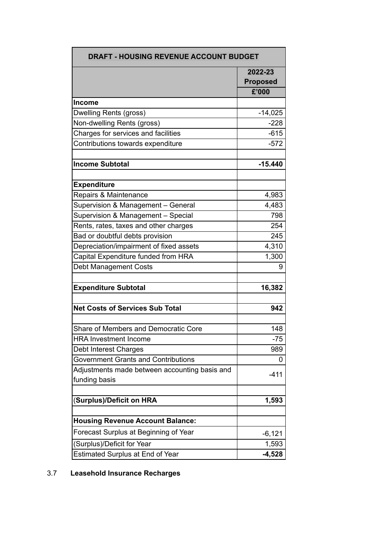|                                                                     | 2022-23         |
|---------------------------------------------------------------------|-----------------|
|                                                                     | <b>Proposed</b> |
|                                                                     | £'000           |
| <b>Income</b>                                                       |                 |
| Dwelling Rents (gross)                                              | $-14,025$       |
| Non-dwelling Rents (gross)                                          | $-228$          |
| Charges for services and facilities                                 | $-615$          |
|                                                                     | $-572$          |
| Contributions towards expenditure                                   |                 |
| <b>Income Subtotal</b>                                              | $-15.440$       |
| <b>Expenditure</b>                                                  |                 |
| Repairs & Maintenance                                               | 4,983           |
| Supervision & Management - General                                  | 4,483           |
| Supervision & Management - Special                                  | 798             |
| Rents, rates, taxes and other charges                               | 254             |
| Bad or doubtful debts provision                                     | 245             |
| Depreciation/impairment of fixed assets                             | 4,310           |
| Capital Expenditure funded from HRA                                 | 1,300           |
| <b>Debt Management Costs</b>                                        | 9               |
| <b>Expenditure Subtotal</b>                                         | 16,382          |
| <b>Net Costs of Services Sub Total</b>                              | 942             |
| Share of Members and Democratic Core                                | 148             |
| <b>HRA Investment Income</b>                                        | -75             |
|                                                                     | 989             |
| Debt Interest Charges<br><b>Government Grants and Contributions</b> | 0               |
|                                                                     |                 |
| Adjustments made between accounting basis and<br>funding basis      | $-411$          |
|                                                                     |                 |
| (Surplus)/Deficit on HRA                                            | 1,593           |
| <b>Housing Revenue Account Balance:</b>                             |                 |
| Forecast Surplus at Beginning of Year                               | $-6,121$        |
| (Surplus)/Deficit for Year                                          | 1,593           |
| Estimated Surplus at End of Year                                    | $-4,528$        |

# 3.7 **Leasehold Insurance Recharges**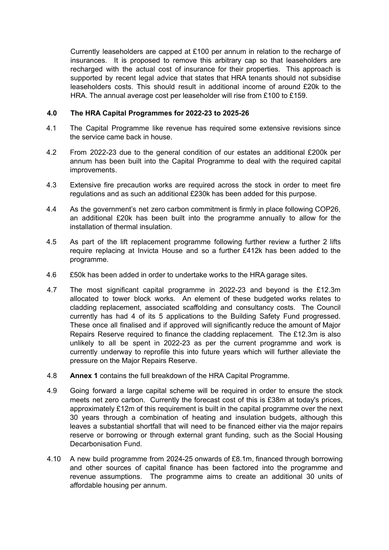Currently leaseholders are capped at £100 per annum in relation to the recharge of insurances. It is proposed to remove this arbitrary cap so that leaseholders are recharged with the actual cost of insurance for their properties. This approach is supported by recent legal advice that states that HRA tenants should not subsidise leaseholders costs. This should result in additional income of around £20k to the HRA. The annual average cost per leaseholder will rise from £100 to £159.

### **4.0 The HRA Capital Programmes for 2022-23 to 2025-26**

- 4.1 The Capital Programme like revenue has required some extensive revisions since the service came back in house.
- 4.2 From 2022-23 due to the general condition of our estates an additional £200k per annum has been built into the Capital Programme to deal with the required capital improvements.
- 4.3 Extensive fire precaution works are required across the stock in order to meet fire regulations and as such an additional £230k has been added for this purpose.
- 4.4 As the government's net zero carbon commitment is firmly in place following COP26, an additional £20k has been built into the programme annually to allow for the installation of thermal insulation.
- 4.5 As part of the lift replacement programme following further review a further 2 lifts require replacing at Invicta House and so a further £412k has been added to the programme.
- 4.6 £50k has been added in order to undertake works to the HRA garage sites.
- 4.7 The most significant capital programme in 2022-23 and beyond is the £12.3m allocated to tower block works. An element of these budgeted works relates to cladding replacement, associated scaffolding and consultancy costs. The Council currently has had 4 of its 5 applications to the Building Safety Fund progressed. These once all finalised and if approved will significantly reduce the amount of Major Repairs Reserve required to finance the cladding replacement. The £12.3m is also unlikely to all be spent in 2022-23 as per the current programme and work is currently underway to reprofile this into future years which will further alleviate the pressure on the Major Repairs Reserve.
- 4.8 **Annex 1** contains the full breakdown of the HRA Capital Programme.
- 4.9 Going forward a large capital scheme will be required in order to ensure the stock meets net zero carbon. Currently the forecast cost of this is £38m at today's prices, approximately £12m of this requirement is built in the capital programme over the next 30 years through a combination of heating and insulation budgets, although this leaves a substantial shortfall that will need to be financed either via the major repairs reserve or borrowing or through external grant funding, such as the Social Housing Decarbonisation Fund.
- 4.10 A new build programme from 2024-25 onwards of £8.1m, financed through borrowing and other sources of capital finance has been factored into the programme and revenue assumptions. The programme aims to create an additional 30 units of affordable housing per annum.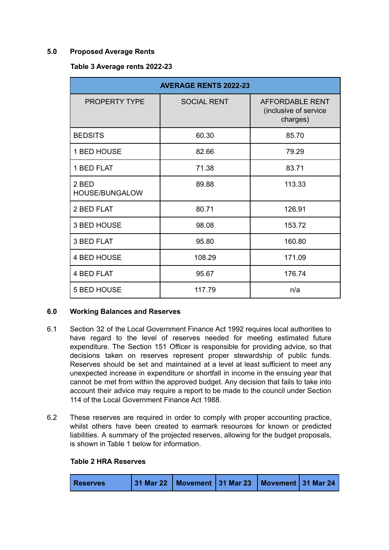### **5.0 Proposed Average Rents**

### **Table 3 Average rents 2022-23**

| <b>AVERAGE RENTS 2022-23</b> |                    |                                                      |  |  |  |  |
|------------------------------|--------------------|------------------------------------------------------|--|--|--|--|
| <b>PROPERTY TYPE</b>         | <b>SOCIAL RENT</b> | AFFORDABLE RENT<br>(inclusive of service<br>charges) |  |  |  |  |
| <b>BEDSITS</b>               | 60.30              | 85.70                                                |  |  |  |  |
| 1 BED HOUSE                  | 82.66              | 79.29                                                |  |  |  |  |
| 1 BED FLAT                   | 71.38              | 83.71                                                |  |  |  |  |
| 2 BED<br>HOUSE/BUNGALOW      | 89.88              | 113.33                                               |  |  |  |  |
| 2 BED FLAT                   | 80.71              | 126.91                                               |  |  |  |  |
| 3 BED HOUSE                  | 98.08              | 153.72                                               |  |  |  |  |
| 3 BED FLAT                   | 95.80              | 160.80                                               |  |  |  |  |
| <b>4 BED HOUSE</b>           | 108.29             | 171.09                                               |  |  |  |  |
| <b>4 BED FLAT</b>            | 95.67              | 176.74                                               |  |  |  |  |
| <b>5 BED HOUSE</b>           | 117.79             | n/a                                                  |  |  |  |  |

## **6.0 Working Balances and Reserves**

- 6.1 Section 32 of the Local Government Finance Act 1992 requires local authorities to have regard to the level of reserves needed for meeting estimated future expenditure. The Section 151 Officer is responsible for providing advice, so that decisions taken on reserves represent proper stewardship of public funds. Reserves should be set and maintained at a level at least sufficient to meet any unexpected increase in expenditure or shortfall in income in the ensuing year that cannot be met from within the approved budget. Any decision that fails to take into account their advice may require a report to be made to the council under Section 114 of the Local Government Finance Act 1988.
- 6.2 These reserves are required in order to comply with proper accounting practice, whilst others have been created to earmark resources for known or predicted liabilities. A summary of the projected reserves, allowing for the budget proposals, is shown in Table 1 below for information.

## **Table 2 HRA Reserves**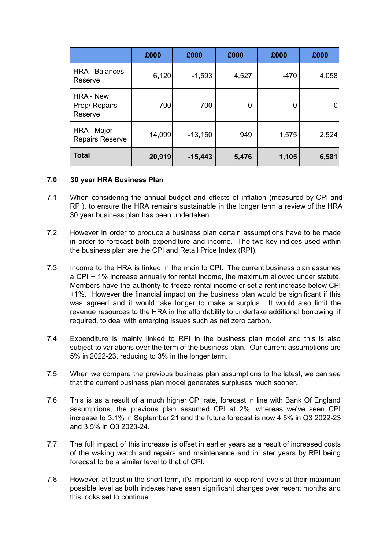|                                              | £000   | £000      | £000  | £000   | £000  |
|----------------------------------------------|--------|-----------|-------|--------|-------|
| <b>HRA - Balances</b><br>Reserve             | 6,120  | $-1,593$  | 4,527 | $-470$ | 4,058 |
| <b>HRA - New</b><br>Prop/ Repairs<br>Reserve | 700    | $-700$    | 0     | 0      |       |
| HRA - Major<br><b>Repairs Reserve</b>        | 14,099 | $-13,150$ | 949   | 1,575  | 2,524 |
| <b>Total</b>                                 | 20,919 | $-15,443$ | 5,476 | 1,105  | 6,581 |

#### **7.0 30 year HRA Business Plan**

- 7.1 When considering the annual budget and effects of inflation (measured by CPI and RPI), to ensure the HRA remains sustainable in the longer term a review of the HRA 30 year business plan has been undertaken.
- 7.2 However in order to produce a business plan certain assumptions have to be made in order to forecast both expenditure and income. The two key indices used within the business plan are the CPI and Retail Price Index (RPI).
- 7.3 Income to the HRA is linked in the main to CPI. The current business plan assumes a CPI + 1% increase annually for rental income, the maximum allowed under statute. Members have the authority to freeze rental income or set a rent increase below CPI +1%. However the financial impact on the business plan would be significant if this was agreed and it would take longer to make a surplus. It would also limit the revenue resources to the HRA in the affordability to undertake additional borrowing, if required, to deal with emerging issues such as net zero carbon.
- 7.4 Expenditure is mainly linked to RPI in the business plan model and this is also subject to variations over the term of the business plan. Our current assumptions are 5% in 2022-23, reducing to 3% in the longer term.
- 7.5 When we compare the previous business plan assumptions to the latest, we can see that the current business plan model generates surpluses much sooner.
- 7.6 This is as a result of a much higher CPI rate, forecast in line with Bank Of England assumptions, the previous plan assumed CPI at 2%, whereas we've seen CPI increase to 3.1% in September 21 and the future forecast is now 4.5% in Q3 2022-23 and 3.5% in Q3 2023-24.
- 7.7 The full impact of this increase is offset in earlier years as a result of increased costs of the waking watch and repairs and maintenance and in later years by RPI being forecast to be a similar level to that of CPI.
- 7.8 However, at least in the short term, it's important to keep rent levels at their maximum possible level as both indexes have seen significant changes over recent months and this looks set to continue.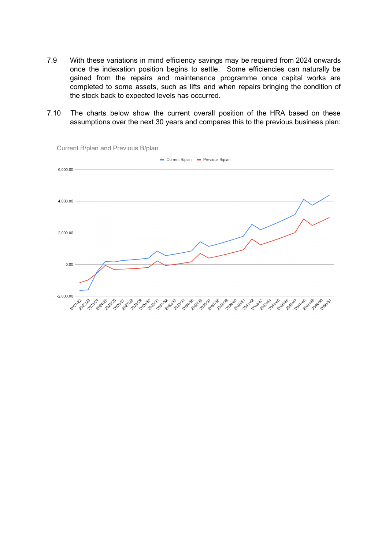- 7.9 With these variations in mind efficiency savings may be required from 2024 onwards once the indexation position begins to settle. Some efficiencies can naturally be gained from the repairs and maintenance programme once capital works are completed to some assets, such as lifts and when repairs bringing the condition of the stock back to expected levels has occurred.
- 7.10 The charts below show the current overall position of the HRA based on these assumptions over the next 30 years and compares this to the previous business plan:

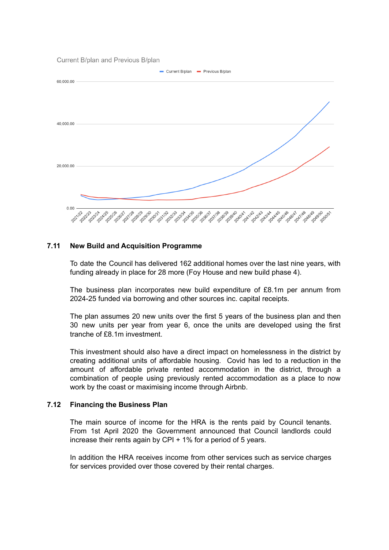Current B/plan and Previous B/plan



#### **7.11 New Build and Acquisition Programme**

To date the Council has delivered 162 additional homes over the last nine years, with funding already in place for 28 more (Foy House and new build phase 4).

The business plan incorporates new build expenditure of £8.1m per annum from 2024-25 funded via borrowing and other sources inc. capital receipts.

The plan assumes 20 new units over the first 5 years of the business plan and then 30 new units per year from year 6, once the units are developed using the first tranche of £8.1m investment.

This investment should also have a direct impact on homelessness in the district by creating additional units of affordable housing. Covid has led to a reduction in the amount of affordable private rented accommodation in the district, through a combination of people using previously rented accommodation as a place to now work by the coast or maximising income through Airbnb.

#### **7.12 Financing the Business Plan**

The main source of income for the HRA is the rents paid by Council tenants. From 1st April 2020 the Government announced that Council landlords could increase their rents again by CPI + 1% for a period of 5 years.

In addition the HRA receives income from other services such as service charges for services provided over those covered by their rental charges.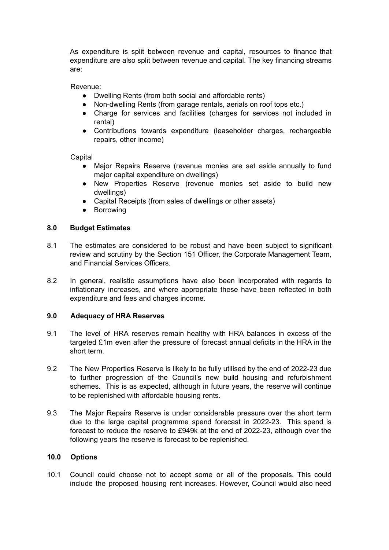As expenditure is split between revenue and capital, resources to finance that expenditure are also split between revenue and capital. The key financing streams are:

Revenue:

- Dwelling Rents (from both social and affordable rents)
- Non-dwelling Rents (from garage rentals, aerials on roof tops etc.)
- Charge for services and facilities (charges for services not included in rental)
- Contributions towards expenditure (leaseholder charges, rechargeable repairs, other income)

**Capital** 

- Major Repairs Reserve (revenue monies are set aside annually to fund major capital expenditure on dwellings)
- New Properties Reserve (revenue monies set aside to build new dwellings)
- Capital Receipts (from sales of dwellings or other assets)
- Borrowing

#### **8.0 Budget Estimates**

- 8.1 The estimates are considered to be robust and have been subject to significant review and scrutiny by the Section 151 Officer, the Corporate Management Team, and Financial Services Officers.
- 8.2 In general, realistic assumptions have also been incorporated with regards to inflationary increases, and where appropriate these have been reflected in both expenditure and fees and charges income.

#### **9.0 Adequacy of HRA Reserves**

- 9.1 The level of HRA reserves remain healthy with HRA balances in excess of the targeted £1m even after the pressure of forecast annual deficits in the HRA in the short term.
- 9.2 The New Properties Reserve is likely to be fully utilised by the end of 2022-23 due to further progression of the Council's new build housing and refurbishment schemes. This is as expected, although in future years, the reserve will continue to be replenished with affordable housing rents.
- 9.3 The Major Repairs Reserve is under considerable pressure over the short term due to the large capital programme spend forecast in 2022-23. This spend is forecast to reduce the reserve to £949k at the end of 2022-23, although over the following years the reserve is forecast to be replenished.

## **10.0 Options**

10.1 Council could choose not to accept some or all of the proposals. This could include the proposed housing rent increases. However, Council would also need